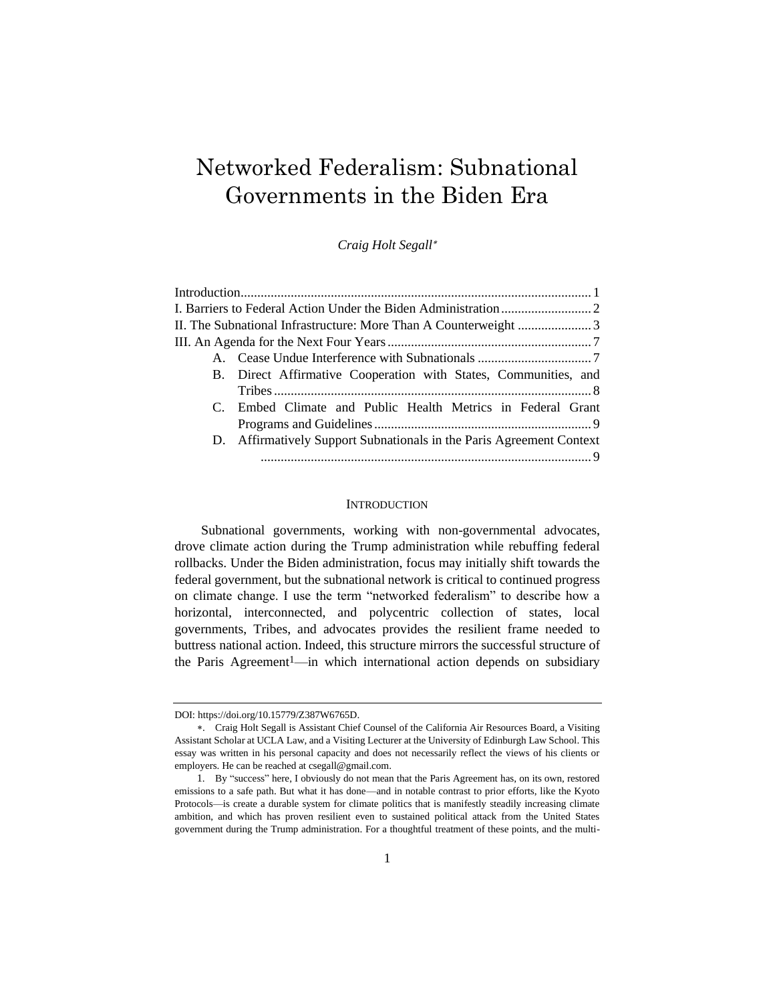# Networked Federalism: Subnational Governments in the Biden Era

*Craig Holt Segall*

| II. The Subnational Infrastructure: More Than A Counterweight 3      |
|----------------------------------------------------------------------|
|                                                                      |
|                                                                      |
| B. Direct Affirmative Cooperation with States, Communities, and      |
|                                                                      |
| C. Embed Climate and Public Health Metrics in Federal Grant          |
|                                                                      |
| D. Affirmatively Support Subnationals in the Paris Agreement Context |
|                                                                      |
|                                                                      |

#### **INTRODUCTION**

Subnational governments, working with non-governmental advocates, drove climate action during the Trump administration while rebuffing federal rollbacks. Under the Biden administration, focus may initially shift towards the federal government, but the subnational network is critical to continued progress on climate change. I use the term "networked federalism" to describe how a horizontal, interconnected, and polycentric collection of states, local governments, Tribes, and advocates provides the resilient frame needed to buttress national action. Indeed, this structure mirrors the successful structure of the Paris Agreement<sup>1</sup>—in which international action depends on subsidiary

DOI: https://doi.org/10.15779/Z387W6765D.

<sup>.</sup> Craig Holt Segall is Assistant Chief Counsel of the California Air Resources Board, a Visiting Assistant Scholar at UCLA Law, and a Visiting Lecturer at the University of Edinburgh Law School. This essay was written in his personal capacity and does not necessarily reflect the views of his clients or employers. He can be reached at csegall@gmail.com.

<sup>1</sup>. By "success" here, I obviously do not mean that the Paris Agreement has, on its own, restored emissions to a safe path. But what it has done—and in notable contrast to prior efforts, like the Kyoto Protocols—is create a durable system for climate politics that is manifestly steadily increasing climate ambition, and which has proven resilient even to sustained political attack from the United States government during the Trump administration. For a thoughtful treatment of these points, and the multi-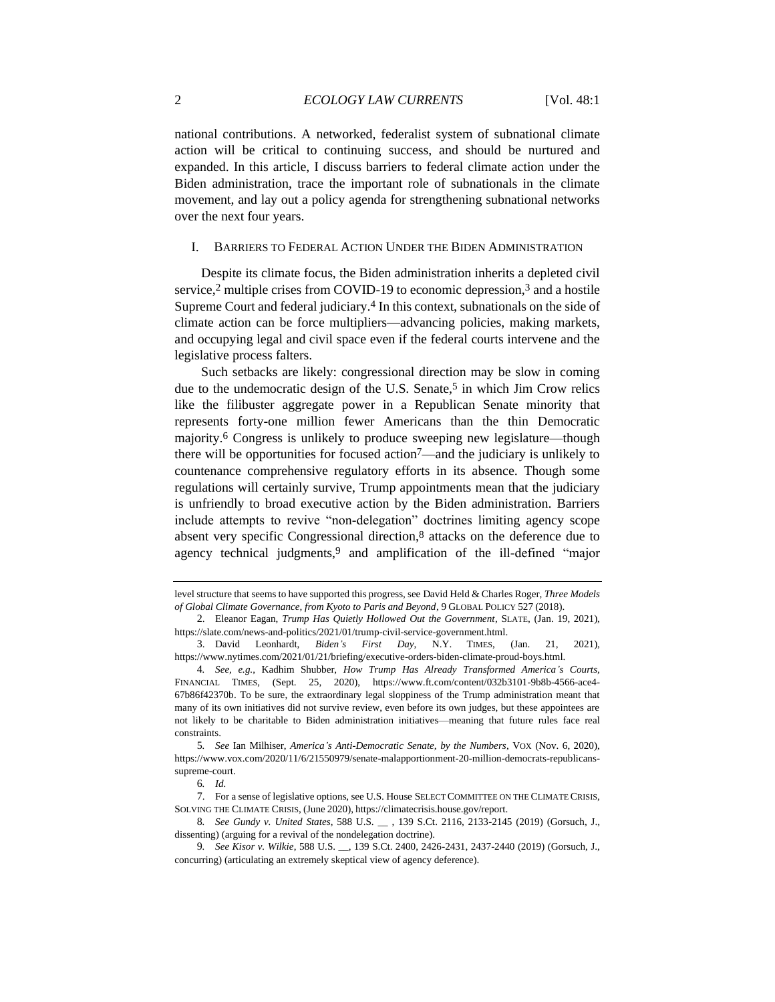national contributions. A networked, federalist system of subnational climate action will be critical to continuing success, and should be nurtured and expanded. In this article, I discuss barriers to federal climate action under the Biden administration, trace the important role of subnationals in the climate movement, and lay out a policy agenda for strengthening subnational networks over the next four years.

#### I. BARRIERS TO FEDERAL ACTION UNDER THE BIDEN ADMINISTRATION

Despite its climate focus, the Biden administration inherits a depleted civil service,2 multiple crises from COVID-19 to economic depression,3 and a hostile Supreme Court and federal judiciary.<sup>4</sup> In this context, subnationals on the side of climate action can be force multipliers—advancing policies, making markets, and occupying legal and civil space even if the federal courts intervene and the legislative process falters.

Such setbacks are likely: congressional direction may be slow in coming due to the undemocratic design of the U.S. Senate,<sup>5</sup> in which Jim Crow relics like the filibuster aggregate power in a Republican Senate minority that represents forty-one million fewer Americans than the thin Democratic majority.6 Congress is unlikely to produce sweeping new legislature—though there will be opportunities for focused action7—and the judiciary is unlikely to countenance comprehensive regulatory efforts in its absence. Though some regulations will certainly survive, Trump appointments mean that the judiciary is unfriendly to broad executive action by the Biden administration. Barriers include attempts to revive "non-delegation" doctrines limiting agency scope absent very specific Congressional direction,8 attacks on the deference due to agency technical judgments,<sup>9</sup> and amplification of the ill-defined "major

level structure that seems to have supported this progress, see David Held & Charles Roger, *Three Models of Global Climate Governance, from Kyoto to Paris and Beyond*, 9 GLOBAL POLICY 527 (2018).

<sup>2</sup>. Eleanor Eagan, *Trump Has Quietly Hollowed Out the Government*, SLATE, (Jan. 19, 2021), https://slate.com/news-and-politics/2021/01/trump-civil-service-government.html.

<sup>3</sup>. David Leonhardt, *Biden's First Day*, N.Y. TIMES, (Jan. 21, 2021), https://www.nytimes.com/2021/01/21/briefing/executive-orders-biden-climate-proud-boys.html.

<sup>4</sup>*. See, e.g.*, Kadhim Shubber, *How Trump Has Already Transformed America's Courts,*  FINANCIAL TIMES, (Sept. 25, 2020), https://www.ft.com/content/032b3101-9b8b-4566-ace4- 67b86f42370b. To be sure, the extraordinary legal sloppiness of the Trump administration meant that many of its own initiatives did not survive review, even before its own judges, but these appointees are not likely to be charitable to Biden administration initiatives—meaning that future rules face real constraints.

<sup>5</sup>*. See* Ian Milhiser, *America's Anti-Democratic Senate, by the Numbers*, VOX (Nov. 6, 2020), https://www.vox.com/2020/11/6/21550979/senate-malapportionment-20-million-democrats-republicanssupreme-court.

<sup>6</sup>*. Id.*

<sup>7</sup>. For a sense of legislative options, see U.S. House SELECT COMMITTEE ON THE CLIMATE CRISIS, SOLVING THE CLIMATE CRISIS, (June 2020), https://climatecrisis.house.gov/report.

<sup>8</sup>*. See Gundy v. United States*, 588 U.S. \_\_ , 139 S.Ct. 2116, 2133-2145 (2019) (Gorsuch, J., dissenting) (arguing for a revival of the nondelegation doctrine).

<sup>9</sup>*. See Kisor v. Wilkie*, 588 U.S. \_\_, 139 S.Ct. 2400, 2426-2431, 2437-2440 (2019) (Gorsuch, J., concurring) (articulating an extremely skeptical view of agency deference).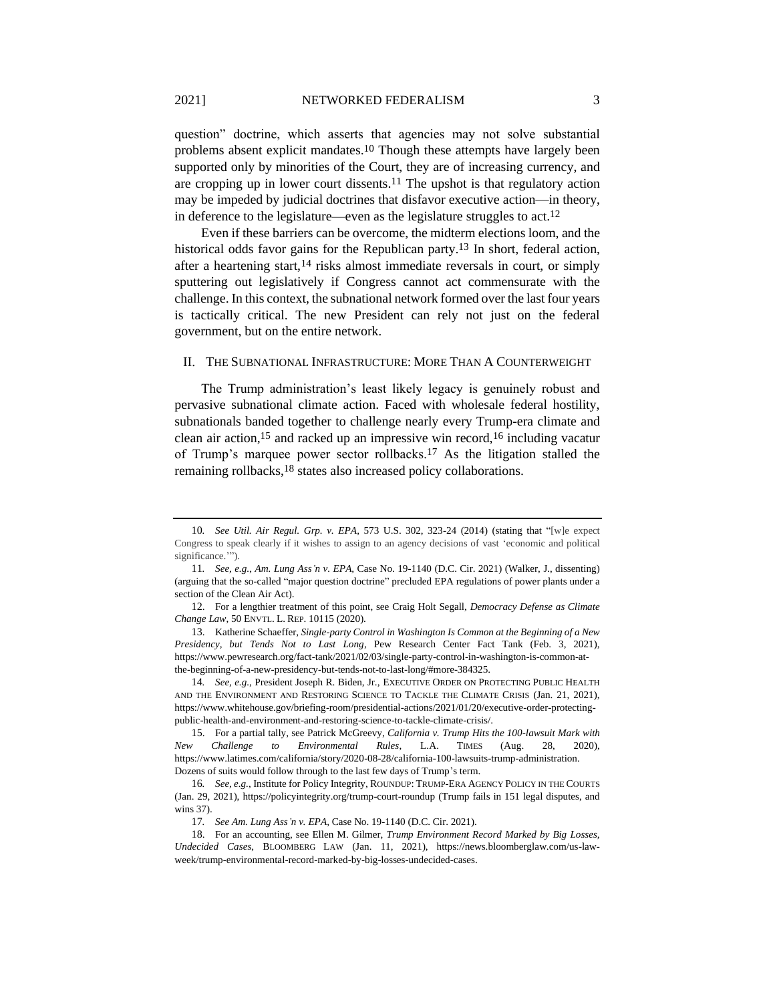question" doctrine, which asserts that agencies may not solve substantial problems absent explicit mandates.10 Though these attempts have largely been supported only by minorities of the Court, they are of increasing currency, and are cropping up in lower court dissents.11 The upshot is that regulatory action may be impeded by judicial doctrines that disfavor executive action—in theory, in deference to the legislature—even as the legislature struggles to act.12

Even if these barriers can be overcome, the midterm elections loom, and the historical odds favor gains for the Republican party.13 In short, federal action, after a heartening start,14 risks almost immediate reversals in court, or simply sputtering out legislatively if Congress cannot act commensurate with the challenge. In this context, the subnational network formed over the last four years is tactically critical. The new President can rely not just on the federal government, but on the entire network.

# II. THE SUBNATIONAL INFRASTRUCTURE: MORE THAN A COUNTERWEIGHT

The Trump administration's least likely legacy is genuinely robust and pervasive subnational climate action. Faced with wholesale federal hostility, subnationals banded together to challenge nearly every Trump-era climate and clean air action,15 and racked up an impressive win record,16 including vacatur of Trump's marquee power sector rollbacks.17 As the litigation stalled the remaining rollbacks,18 states also increased policy collaborations.

<sup>10</sup>*. See Util. Air Regul. Grp. v. EPA*, 573 U.S. 302, 323-24 (2014) (stating that "[w]e expect Congress to speak clearly if it wishes to assign to an agency decisions of vast 'economic and political significance."").

<sup>11</sup>*. See, e.g.*, *Am. Lung Ass'n v. EPA,* Case No. 19-1140 (D.C. Cir. 2021) (Walker, J., dissenting) (arguing that the so-called "major question doctrine" precluded EPA regulations of power plants under a section of the Clean Air Act).

<sup>12</sup>. For a lengthier treatment of this point, see Craig Holt Segall, *Democracy Defense as Climate Change Law*, 50 ENVTL. L. REP. 10115 (2020).

<sup>13</sup>. Katherine Schaeffer, *Single-party Control in Washington Is Common at the Beginning of a New Presidency, but Tends Not to Last Long*, Pew Research Center Fact Tank (Feb. 3, 2021), https://www.pewresearch.org/fact-tank/2021/02/03/single-party-control-in-washington-is-common-atthe-beginning-of-a-new-presidency-but-tends-not-to-last-long/#more-384325.

<sup>14</sup>*. See, e.g.*, President Joseph R. Biden, Jr., EXECUTIVE ORDER ON PROTECTING PUBLIC HEALTH AND THE ENVIRONMENT AND RESTORING SCIENCE TO TACKLE THE CLIMATE CRISIS (Jan. 21, 2021), https://www.whitehouse.gov/briefing-room/presidential-actions/2021/01/20/executive-order-protectingpublic-health-and-environment-and-restoring-science-to-tackle-climate-crisis/.

<sup>15</sup>. For a partial tally, see Patrick McGreevy, *California v. Trump Hits the 100-lawsuit Mark with New Challenge to Environmental Rules*, L.A. TIMES (Aug. 28, 2020), https://www.latimes.com/california/story/2020-08-28/california-100-lawsuits-trump-administration. Dozens of suits would follow through to the last few days of Trump's term.

<sup>16</sup>*. See, e.g.*, Institute for Policy Integrity, ROUNDUP: TRUMP-ERA AGENCY POLICY IN THE COURTS (Jan. 29, 2021), https://policyintegrity.org/trump-court-roundup (Trump fails in 151 legal disputes, and wins 37).

<sup>17</sup>*. See Am. Lung Ass'n v. EPA,* Case No. 19-1140 (D.C. Cir. 2021).

<sup>18</sup>. For an accounting, see Ellen M. Gilmer, *Trump Environment Record Marked by Big Losses, Undecided Cases*, BLOOMBERG LAW (Jan. 11, 2021), https://news.bloomberglaw.com/us-lawweek/trump-environmental-record-marked-by-big-losses-undecided-cases.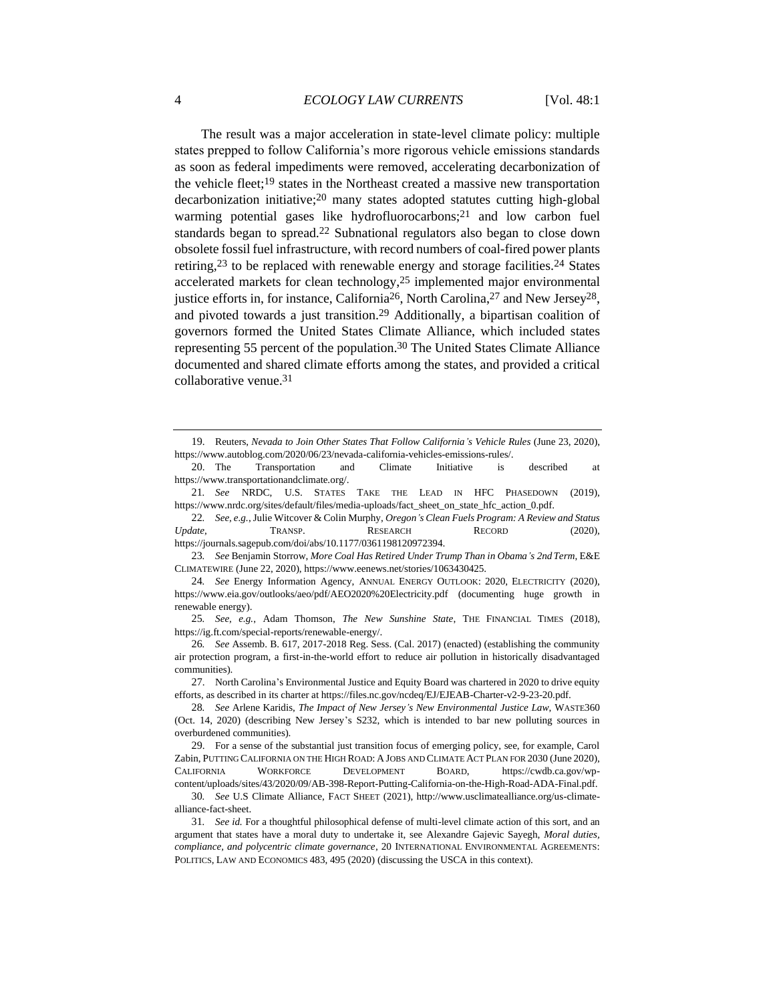The result was a major acceleration in state-level climate policy: multiple states prepped to follow California's more rigorous vehicle emissions standards as soon as federal impediments were removed, accelerating decarbonization of the vehicle fleet;19 states in the Northeast created a massive new transportation decarbonization initiative;20 many states adopted statutes cutting high-global warming potential gases like hydrofluorocarbons;<sup>21</sup> and low carbon fuel standards began to spread.<sup>22</sup> Subnational regulators also began to close down obsolete fossil fuel infrastructure, with record numbers of coal-fired power plants retiring,23 to be replaced with renewable energy and storage facilities.24 States accelerated markets for clean technology,25 implemented major environmental justice efforts in, for instance, California26, North Carolina,27 and New Jersey28, and pivoted towards a just transition.29 Additionally, a bipartisan coalition of governors formed the United States Climate Alliance, which included states representing 55 percent of the population.30 The United States Climate Alliance documented and shared climate efforts among the states, and provided a critical collaborative venue.31

<sup>19</sup>. Reuters, *Nevada to Join Other States That Follow California's Vehicle Rules* (June 23, 2020), https://www.autoblog.com/2020/06/23/nevada-california-vehicles-emissions-rules/.

<sup>20</sup>. The Transportation and Climate Initiative is described at https://www.transportationandclimate.org/.

<sup>21</sup>*. See* NRDC, U.S. STATES TAKE THE LEAD IN HFC PHASEDOWN (2019), https://www.nrdc.org/sites/default/files/media-uploads/fact\_sheet\_on\_state\_hfc\_action\_0.pdf.

<sup>22</sup>*. See, e.g.*, Julie Witcover & Colin Murphy, *Oregon's Clean Fuels Program: A Review and Status Update*, **TRANSP.** RESEARCH RECORD (2020), https://journals.sagepub.com/doi/abs/10.1177/0361198120972394.

<sup>23</sup>*. See* Benjamin Storrow, *More Coal Has Retired Under Trump Than in Obama's 2nd Term*, E&E CLIMATEWIRE (June 22, 2020), https://www.eenews.net/stories/1063430425.

<sup>24</sup>*. See* Energy Information Agency, ANNUAL ENERGY OUTLOOK: 2020, ELECTRICITY (2020), https://www.eia.gov/outlooks/aeo/pdf/AEO2020%20Electricity.pdf (documenting huge growth in renewable energy).

<sup>25</sup>*. See, e.g.*, Adam Thomson, *The New Sunshine State*, THE FINANCIAL TIMES (2018), https://ig.ft.com/special-reports/renewable-energy/.

<sup>26</sup>*. See* Assemb. B. 617, 2017-2018 Reg. Sess. (Cal. 2017) (enacted) (establishing the community air protection program, a first-in-the-world effort to reduce air pollution in historically disadvantaged communities).

<sup>27</sup>. North Carolina's Environmental Justice and Equity Board was chartered in 2020 to drive equity efforts, as described in its charter at https://files.nc.gov/ncdeq/EJ/EJEAB-Charter-v2-9-23-20.pdf.

<sup>28</sup>*. See* Arlene Karidis, *The Impact of New Jersey's New Environmental Justice Law*, WASTE360 (Oct. 14, 2020) (describing New Jersey's S232, which is intended to bar new polluting sources in overburdened communities).

<sup>29</sup>. For a sense of the substantial just transition focus of emerging policy, see, for example, Carol Zabin, PUTTING CALIFORNIA ON THE HIGH ROAD: A JOBS AND CLIMATE ACT PLAN FOR 2030 (June 2020), CALIFORNIA WORKFORCE DEVELOPMENT BOARD, https://cwdb.ca.gov/wpcontent/uploads/sites/43/2020/09/AB-398-Report-Putting-California-on-the-High-Road-ADA-Final.pdf.

<sup>30</sup>*. See* U.S Climate Alliance, FACT SHEET (2021), http://www.usclimatealliance.org/us-climatealliance-fact-sheet.

<sup>31</sup>*. See id.* For a thoughtful philosophical defense of multi-level climate action of this sort, and an argument that states have a moral duty to undertake it, see Alexandre Gajevic Sayegh, *Moral duties, compliance, and polycentric climate governance*, 20 INTERNATIONAL ENVIRONMENTAL AGREEMENTS: POLITICS, LAW AND ECONOMICS 483, 495 (2020) (discussing the USCA in this context).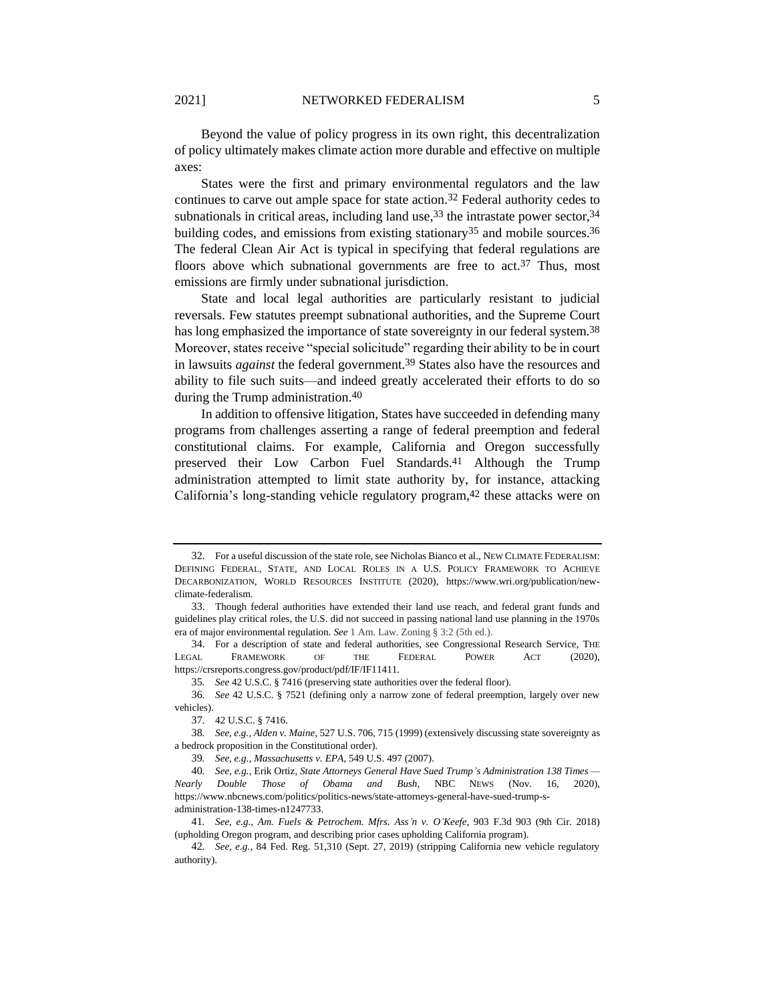Beyond the value of policy progress in its own right, this decentralization of policy ultimately makes climate action more durable and effective on multiple axes:

States were the first and primary environmental regulators and the law continues to carve out ample space for state action.32 Federal authority cedes to subnationals in critical areas, including land use,<sup>33</sup> the intrastate power sector,<sup>34</sup> building codes, and emissions from existing stationary<sup>35</sup> and mobile sources.<sup>36</sup> The federal Clean Air Act is typical in specifying that federal regulations are floors above which subnational governments are free to act.<sup>37</sup> Thus, most emissions are firmly under subnational jurisdiction.

State and local legal authorities are particularly resistant to judicial reversals. Few statutes preempt subnational authorities, and the Supreme Court has long emphasized the importance of state sovereignty in our federal system.<sup>38</sup> Moreover, states receive "special solicitude" regarding their ability to be in court in lawsuits *against* the federal government.39 States also have the resources and ability to file such suits—and indeed greatly accelerated their efforts to do so during the Trump administration.40

In addition to offensive litigation, States have succeeded in defending many programs from challenges asserting a range of federal preemption and federal constitutional claims. For example, California and Oregon successfully preserved their Low Carbon Fuel Standards.41 Although the Trump administration attempted to limit state authority by, for instance, attacking California's long-standing vehicle regulatory program, $42$  these attacks were on

35*. See* 42 U.S.C. § 7416 (preserving state authorities over the federal floor).

<sup>32</sup>. For a useful discussion of the state role, see Nicholas Bianco et al., NEW CLIMATE FEDERALISM: DEFINING FEDERAL, STATE, AND LOCAL ROLES IN A U.S. POLICY FRAMEWORK TO ACHIEVE DECARBONIZATION, WORLD RESOURCES INSTITUTE (2020), https://www.wri.org/publication/newclimate-federalism.

<sup>33</sup>. Though federal authorities have extended their land use reach, and federal grant funds and guidelines play critical roles, the U.S. did not succeed in passing national land use planning in the 1970s era of major environmental regulation. *See* 1 Am. Law. Zoning § 3:2 (5th ed.).

<sup>34</sup>. For a description of state and federal authorities, see Congressional Research Service, THE LEGAL FRAMEWORK OF THE FEDERAL POWER ACT (2020), https://crsreports.congress.gov/product/pdf/IF/IF11411.

<sup>36</sup>*. See* 42 U.S.C. § 7521 (defining only a narrow zone of federal preemption, largely over new vehicles).

<sup>37</sup>. 42 U.S.C. § 7416.

<sup>38</sup>*. See, e.g.*, *Alden v. Maine*, 527 U.S. 706, 715 (1999) (extensively discussing state sovereignty as a bedrock proposition in the Constitutional order).

<sup>39</sup>*. See, e.g.*, *Massachusetts v. EPA*, 549 U.S. 497 (2007).

<sup>40</sup>*. See, e.g.*, Erik Ortiz, *State Attorneys General Have Sued Trump's Administration 138 Times — Nearly Double Those of Obama and Bush*, NBC NEWS (Nov. 16, 2020), https://www.nbcnews.com/politics/politics-news/state-attorneys-general-have-sued-trump-sadministration-138-times-n1247733.

<sup>41</sup>*. See, e.g.*, *Am. Fuels & Petrochem. Mfrs. Ass'n v. O'Keefe,* 903 F.3d 903 (9th Cir. 2018) (upholding Oregon program, and describing prior cases upholding California program).

<sup>42</sup>*. See, e.g.*, 84 Fed. Reg. 51,310 (Sept. 27, 2019) (stripping California new vehicle regulatory authority).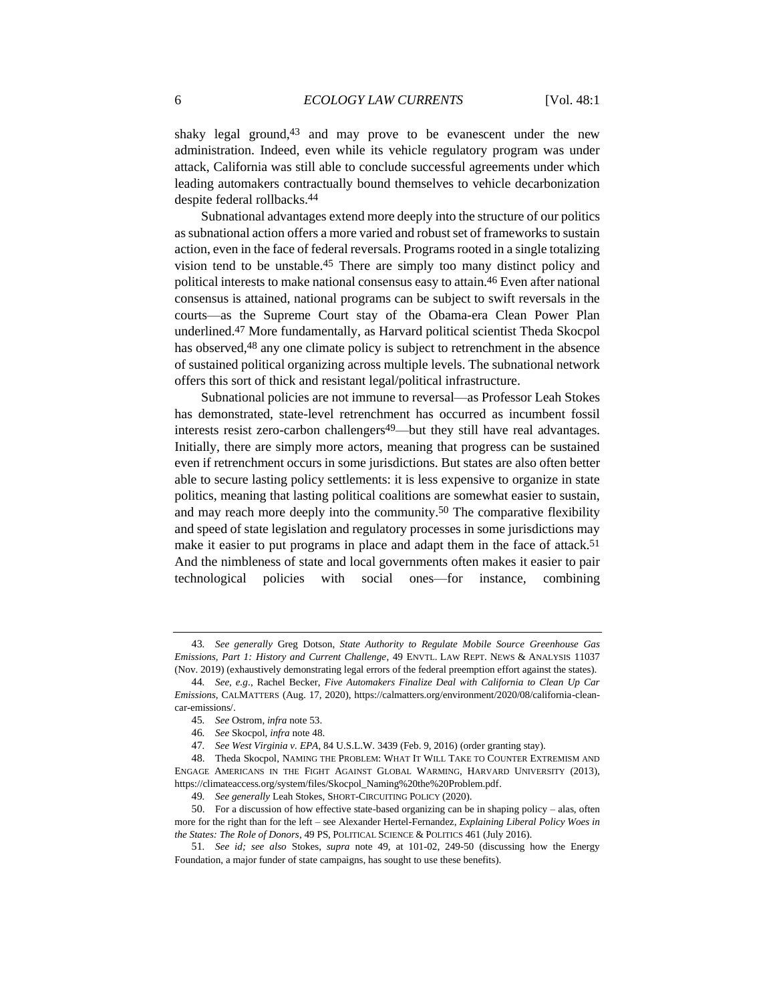shaky legal ground,<sup>43</sup> and may prove to be evanescent under the new administration. Indeed, even while its vehicle regulatory program was under attack, California was still able to conclude successful agreements under which leading automakers contractually bound themselves to vehicle decarbonization despite federal rollbacks.44

Subnational advantages extend more deeply into the structure of our politics as subnational action offers a more varied and robust set of frameworks to sustain action, even in the face of federal reversals. Programs rooted in a single totalizing vision tend to be unstable.45 There are simply too many distinct policy and political interests to make national consensus easy to attain.46 Even after national consensus is attained, national programs can be subject to swift reversals in the courts—as the Supreme Court stay of the Obama-era Clean Power Plan underlined.47 More fundamentally, as Harvard political scientist Theda Skocpol has observed,<sup>48</sup> any one climate policy is subject to retrenchment in the absence of sustained political organizing across multiple levels. The subnational network offers this sort of thick and resistant legal/political infrastructure.

<span id="page-5-2"></span><span id="page-5-1"></span><span id="page-5-0"></span>Subnational policies are not immune to reversal—as Professor Leah Stokes has demonstrated, state-level retrenchment has occurred as incumbent fossil interests resist zero-carbon challengers<sup>49</sup>—but they still have real advantages. Initially, there are simply more actors, meaning that progress can be sustained even if retrenchment occurs in some jurisdictions. But states are also often better able to secure lasting policy settlements: it is less expensive to organize in state politics, meaning that lasting political coalitions are somewhat easier to sustain, and may reach more deeply into the community.50 The comparative flexibility and speed of state legislation and regulatory processes in some jurisdictions may make it easier to put programs in place and adapt them in the face of attack.<sup>51</sup> And the nimbleness of state and local governments often makes it easier to pair technological policies with social ones—for instance, combining

<sup>43</sup>*. See generally* Greg Dotson, *State Authority to Regulate Mobile Source Greenhouse Gas Emissions, Part 1: History and Current Challenge*, 49 ENVTL. LAW REPT. NEWS & ANALYSIS 11037 (Nov. 2019) (exhaustively demonstrating legal errors of the federal preemption effort against the states).

<sup>44</sup>*. See, e.g*., Rachel Becker, *Five Automakers Finalize Deal with California to Clean Up Car Emissions*, CALMATTERS (Aug. 17, 2020), https://calmatters.org/environment/2020/08/california-cleancar-emissions/.

<sup>45</sup>*. See* Ostrom, *infra* not[e 53.](#page-6-0)

<sup>46</sup>*. See* Skocpol, *infra* not[e 48.](#page-5-0)

<sup>47</sup>*. See West Virginia v. EPA*, 84 U.S.L.W. 3439 (Feb. 9, 2016) (order granting stay).

<sup>48</sup>. Theda Skocpol, NAMING THE PROBLEM: WHAT IT WILL TAKE TO COUNTER EXTREMISM AND ENGAGE AMERICANS IN THE FIGHT AGAINST GLOBAL WARMING, HARVARD UNIVERSITY (2013), https://climateaccess.org/system/files/Skocpol\_Naming%20the%20Problem.pdf.

<sup>49</sup>*. See generally* Leah Stokes, SHORT-CIRCUITING POLICY (2020).

<sup>50</sup>. For a discussion of how effective state-based organizing can be in shaping policy – alas, often more for the right than for the left – see Alexander Hertel-Fernandez, *Explaining Liberal Policy Woes in the States: The Role of Donors*, 49 PS, POLITICAL SCIENCE & POLITICS 461 (July 2016).

<sup>51</sup>*. See id; see also* Stokes, *supra* note [49,](#page-5-1) at 101-02, 249-50 (discussing how the Energy Foundation, a major funder of state campaigns, has sought to use these benefits).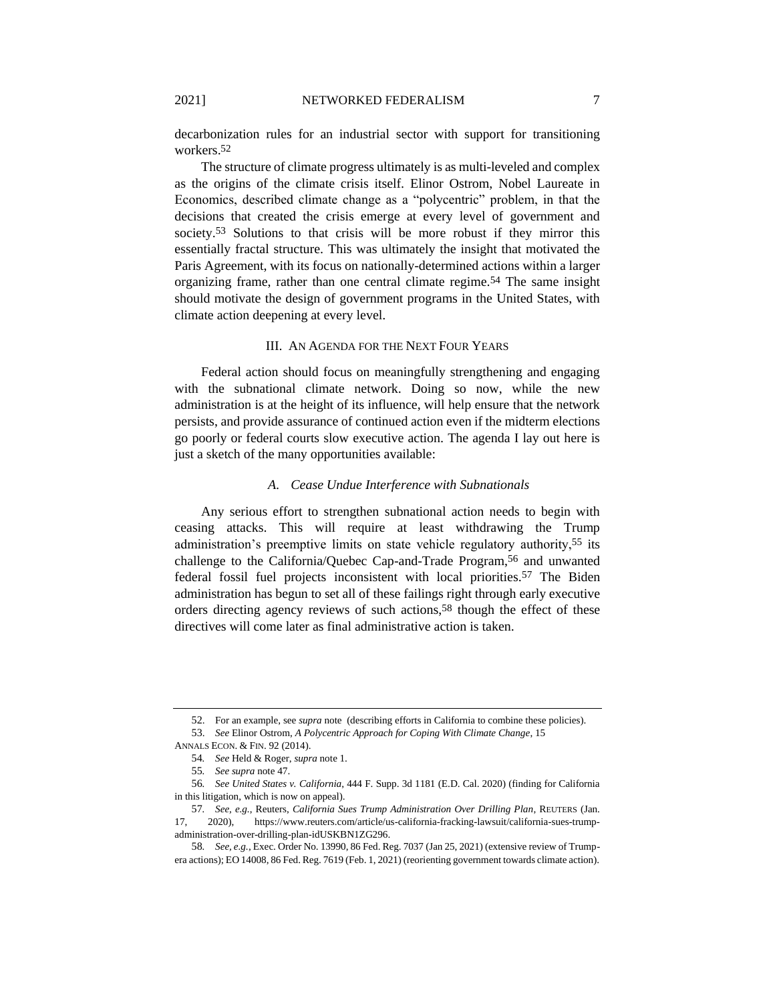decarbonization rules for an industrial sector with support for transitioning workers.52

<span id="page-6-0"></span>The structure of climate progress ultimately is as multi-leveled and complex as the origins of the climate crisis itself. Elinor Ostrom, Nobel Laureate in Economics, described climate change as a "polycentric" problem, in that the decisions that created the crisis emerge at every level of government and society.<sup>53</sup> Solutions to that crisis will be more robust if they mirror this essentially fractal structure. This was ultimately the insight that motivated the Paris Agreement, with its focus on nationally-determined actions within a larger organizing frame, rather than one central climate regime.54 The same insight should motivate the design of government programs in the United States, with climate action deepening at every level.

## III. AN AGENDA FOR THE NEXT FOUR YEARS

Federal action should focus on meaningfully strengthening and engaging with the subnational climate network. Doing so now, while the new administration is at the height of its influence, will help ensure that the network persists, and provide assurance of continued action even if the midterm elections go poorly or federal courts slow executive action. The agenda I lay out here is just a sketch of the many opportunities available:

# <span id="page-6-1"></span>*A. Cease Undue Interference with Subnationals*

Any serious effort to strengthen subnational action needs to begin with ceasing attacks. This will require at least withdrawing the Trump administration's preemptive limits on state vehicle regulatory authority,55 its challenge to the California/Quebec Cap-and-Trade Program,<sup>56</sup> and unwanted federal fossil fuel projects inconsistent with local priorities.57 The Biden administration has begun to set all of these failings right through early executive orders directing agency reviews of such actions,58 though the effect of these directives will come later as final administrative action is taken.

<sup>52</sup>. For an example, see *supra* note (describing efforts in California to combine these policies).

<sup>53</sup>. *See* Elinor Ostrom, *A Polycentric Approach for Coping With Climate Change*, 15

ANNALS ECON. & FIN. 92 (2014).

<sup>54</sup>*. See* Held & Roger, *supra* note 1.

<sup>55</sup>*. See supra* not[e 47.](#page-5-2)

<sup>56</sup>*. See United States v. California*, 444 F. Supp. 3d 1181 (E.D. Cal. 2020) (finding for California in this litigation, which is now on appeal).

<sup>57</sup>*. See, e.g.*, Reuters, *California Sues Trump Administration Over Drilling Plan*, REUTERS (Jan. 17, 2020), https://www.reuters.com/article/us-california-fracking-lawsuit/california-sues-trumpadministration-over-drilling-plan-idUSKBN1ZG296.

<sup>58</sup>*. See, e.g.*, Exec. Order No. 13990, 86 Fed. Reg. 7037 (Jan 25, 2021) (extensive review of Trumpera actions); EO 14008, 86 Fed. Reg. 7619 (Feb. 1, 2021) (reorienting government towards climate action).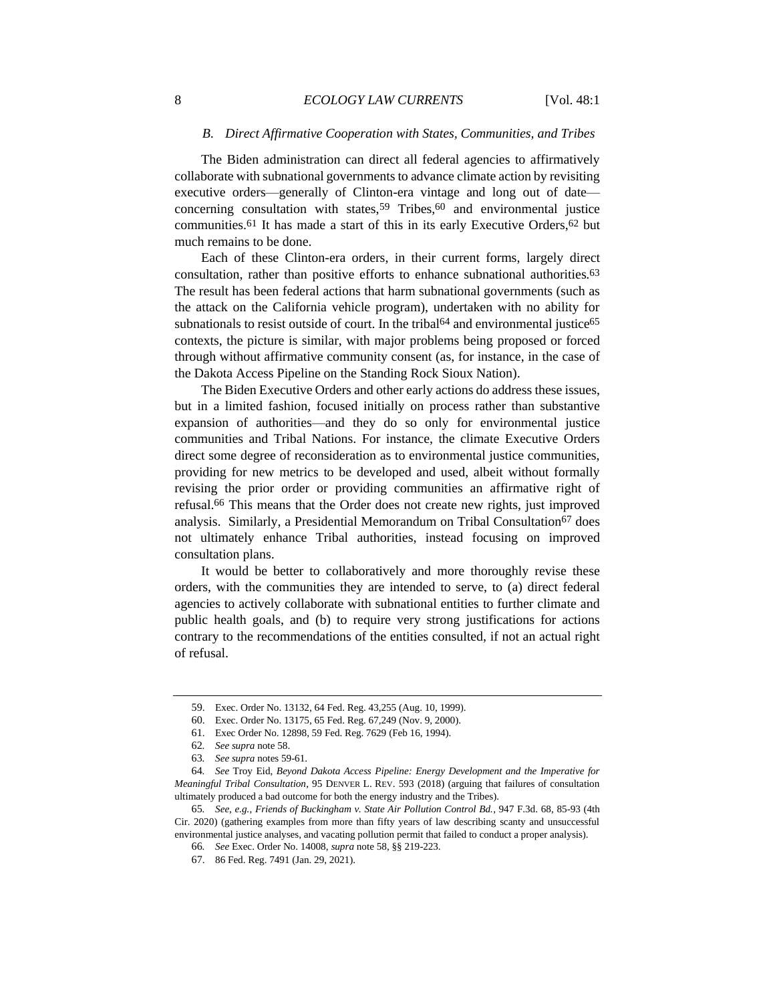## <span id="page-7-0"></span>*B. Direct Affirmative Cooperation with States, Communities, and Tribes*

The Biden administration can direct all federal agencies to affirmatively collaborate with subnational governments to advance climate action by revisiting executive orders—generally of Clinton-era vintage and long out of date concerning consultation with states,  $59$  Tribes,  $60$  and environmental justice communities.<sup>61</sup> It has made a start of this in its early Executive Orders,<sup>62</sup> but much remains to be done.

<span id="page-7-1"></span>Each of these Clinton-era orders, in their current forms, largely direct consultation, rather than positive efforts to enhance subnational authorities.63 The result has been federal actions that harm subnational governments (such as the attack on the California vehicle program), undertaken with no ability for subnationals to resist outside of court. In the tribal<sup>64</sup> and environmental justice<sup>65</sup> contexts, the picture is similar, with major problems being proposed or forced through without affirmative community consent (as, for instance, in the case of the Dakota Access Pipeline on the Standing Rock Sioux Nation).

The Biden Executive Orders and other early actions do address these issues, but in a limited fashion, focused initially on process rather than substantive expansion of authorities—and they do so only for environmental justice communities and Tribal Nations. For instance, the climate Executive Orders direct some degree of reconsideration as to environmental justice communities, providing for new metrics to be developed and used, albeit without formally revising the prior order or providing communities an affirmative right of refusal.66 This means that the Order does not create new rights, just improved analysis. Similarly, a Presidential Memorandum on Tribal Consultation67 does not ultimately enhance Tribal authorities, instead focusing on improved consultation plans.

It would be better to collaboratively and more thoroughly revise these orders, with the communities they are intended to serve, to (a) direct federal agencies to actively collaborate with subnational entities to further climate and public health goals, and (b) to require very strong justifications for actions contrary to the recommendations of the entities consulted, if not an actual right of refusal.

<sup>59</sup>. Exec. Order No. 13132, 64 Fed. Reg. 43,255 (Aug. 10, 1999).

<sup>60</sup>. Exec. Order No. 13175, 65 Fed. Reg. 67,249 (Nov. 9, 2000).

<sup>61</sup>. Exec Order No. 12898, 59 Fed. Reg. 7629 (Feb 16, 1994).

<sup>62</sup>*. See supra* not[e 58.](#page-6-1)

<sup>63</sup>*. See supra* note[s 59](#page-7-0)[-61.](#page-7-1)

<sup>64</sup>*. See* Troy Eid, *Beyond Dakota Access Pipeline: Energy Development and the Imperative for Meaningful Tribal Consultation*, 95 DENVER L. REV. 593 (2018) (arguing that failures of consultation ultimately produced a bad outcome for both the energy industry and the Tribes).

<sup>65</sup>*. See, e.g.*, *Friends of Buckingham v. State Air Pollution Control Bd.*, 947 F.3d. 68, 85-93 (4th Cir. 2020) (gathering examples from more than fifty years of law describing scanty and unsuccessful environmental justice analyses, and vacating pollution permit that failed to conduct a proper analysis).

<sup>66</sup>*. See* Exec. Order No. 14008, *supra* not[e 58,](#page-6-1) §§ 219-223.

<sup>67</sup>. 86 Fed. Reg. 7491 (Jan. 29, 2021).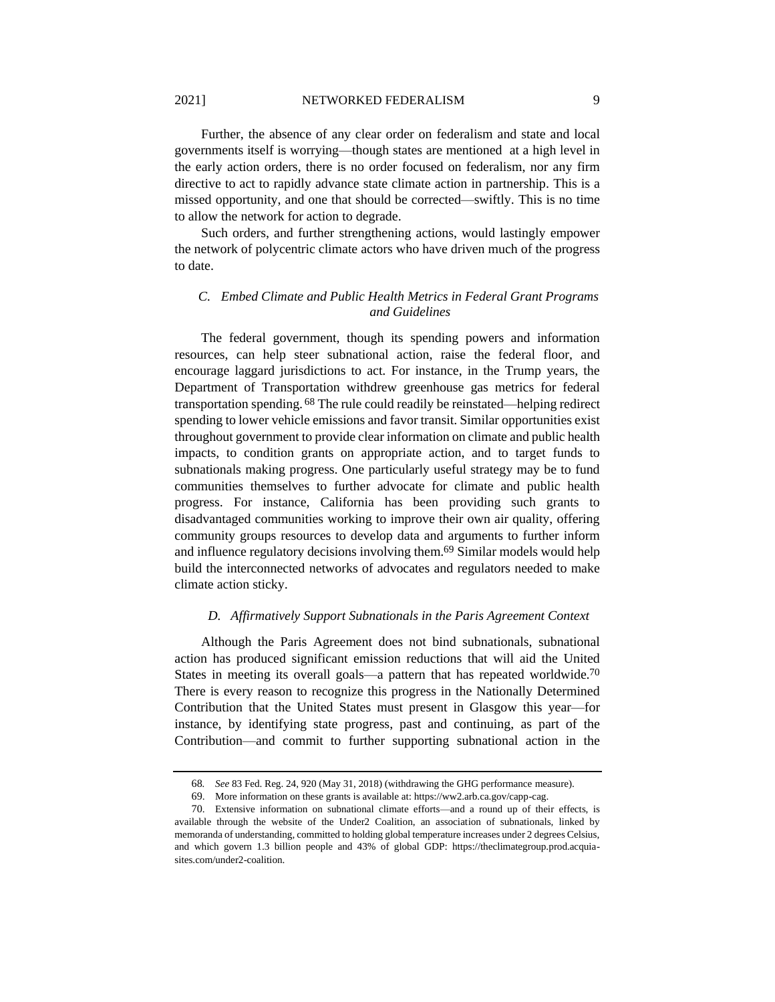2021] NETWORKED FEDERALISM 9

Further, the absence of any clear order on federalism and state and local governments itself is worrying—though states are mentioned at a high level in the early action orders, there is no order focused on federalism, nor any firm directive to act to rapidly advance state climate action in partnership. This is a missed opportunity, and one that should be corrected—swiftly. This is no time to allow the network for action to degrade.

Such orders, and further strengthening actions, would lastingly empower the network of polycentric climate actors who have driven much of the progress to date.

# *C. Embed Climate and Public Health Metrics in Federal Grant Programs and Guidelines*

The federal government, though its spending powers and information resources, can help steer subnational action, raise the federal floor, and encourage laggard jurisdictions to act. For instance, in the Trump years, the Department of Transportation withdrew greenhouse gas metrics for federal transportation spending. 68 The rule could readily be reinstated—helping redirect spending to lower vehicle emissions and favor transit. Similar opportunities exist throughout government to provide clear information on climate and public health impacts, to condition grants on appropriate action, and to target funds to subnationals making progress. One particularly useful strategy may be to fund communities themselves to further advocate for climate and public health progress. For instance, California has been providing such grants to disadvantaged communities working to improve their own air quality, offering community groups resources to develop data and arguments to further inform and influence regulatory decisions involving them.69 Similar models would help build the interconnected networks of advocates and regulators needed to make climate action sticky.

# *D. Affirmatively Support Subnationals in the Paris Agreement Context*

Although the Paris Agreement does not bind subnationals, subnational action has produced significant emission reductions that will aid the United States in meeting its overall goals—a pattern that has repeated worldwide.<sup>70</sup> There is every reason to recognize this progress in the Nationally Determined Contribution that the United States must present in Glasgow this year—for instance, by identifying state progress, past and continuing, as part of the Contribution—and commit to further supporting subnational action in the

<sup>68</sup>*. See* 83 Fed. Reg. 24, 920 (May 31, 2018) (withdrawing the GHG performance measure).

<sup>69</sup>. More information on these grants is available at: https://ww2.arb.ca.gov/capp-cag.

<sup>70</sup>. Extensive information on subnational climate efforts—and a round up of their effects, is available through the website of the Under2 Coalition, an association of subnationals, linked by memoranda of understanding, committed to holding global temperature increases under 2 degrees Celsius, and which govern 1.3 billion people and 43% of global GDP: https://theclimategroup.prod.acquiasites.com/under2-coalition.